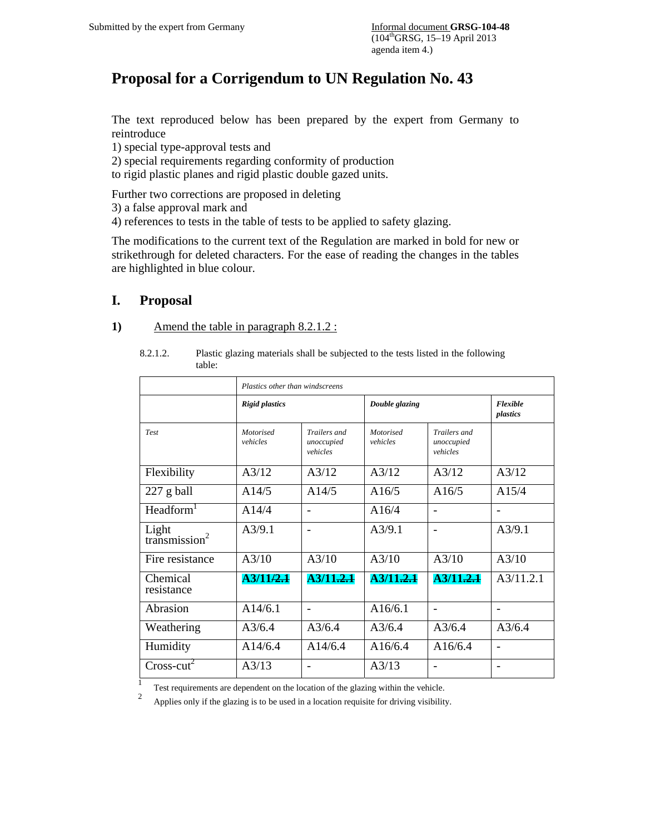# **Proposal for a Corrigendum to UN Regulation No. 43**

The text reproduced below has been prepared by the expert from Germany to reintroduce

1) special type-approval tests and

2) special requirements regarding conformity of production

to rigid plastic planes and rigid plastic double gazed units.

Further two corrections are proposed in deleting

3) a false approval mark and

4) references to tests in the table of tests to be applied to safety glazing.

The modifications to the current text of the Regulation are marked in bold for new or strikethrough for deleted characters. For the ease of reading the changes in the tables are highlighted in blue colour.

## **I. Proposal**

|--|

|                                    | Plastics other than windscreens |                                        |                              |                                        |                          |  |  |  |
|------------------------------------|---------------------------------|----------------------------------------|------------------------------|----------------------------------------|--------------------------|--|--|--|
|                                    | <b>Rigid plastics</b>           |                                        | Double glazing               | Flexible<br>plastics                   |                          |  |  |  |
| <b>Test</b>                        | Motorised<br>vehicles           | Trailers and<br>unoccupied<br>vehicles | <b>Motorised</b><br>vehicles | Trailers and<br>unoccupied<br>vehicles |                          |  |  |  |
| Flexibility                        | A3/12                           | A3/12                                  | A3/12                        | A3/12                                  | A3/12                    |  |  |  |
| $227$ g ball                       | A14/5                           | A14/5                                  | A16/5                        | A16/5                                  | A15/4                    |  |  |  |
| Headform <sup>1</sup>              | A14/4                           | $\qquad \qquad$                        | A16/4                        |                                        | $\overline{\phantom{a}}$ |  |  |  |
| Light<br>transmission <sup>2</sup> | A3/9.1                          | $\qquad \qquad$                        | A3/9.1                       | $\qquad \qquad \blacksquare$           | A3/9.1                   |  |  |  |
| Fire resistance                    | A3/10                           | A3/10                                  | A3/10                        | A3/10                                  | A3/10                    |  |  |  |
| Chemical<br>resistance             | A3/11/2.1                       | A3/11.2.1                              | A3/11.2.1                    | A3/11.2.1                              | A3/11.2.1                |  |  |  |
| Abrasion                           | A14/6.1                         | $\qquad \qquad$                        | A16/6.1                      |                                        |                          |  |  |  |
| Weathering                         | A3/6.4                          | A3/6.4                                 | $A\frac{3}{6.4}$             | A3/6.4                                 | A3/6.4                   |  |  |  |
| Humidity                           | A14/6.4                         | A14/6.4                                | A16/6.4                      | A16/6.4                                |                          |  |  |  |
| $Cross-cut2$                       | A3/13                           |                                        | A3/13                        |                                        | $\overline{\phantom{a}}$ |  |  |  |

8.2.1.2. Plastic glazing materials shall be subjected to the tests listed in the following table:

<sup>1</sup> Test requirements are dependent on the location of the glazing within the vehicle.

2 Applies only if the glazing is to be used in a location requisite for driving visibility.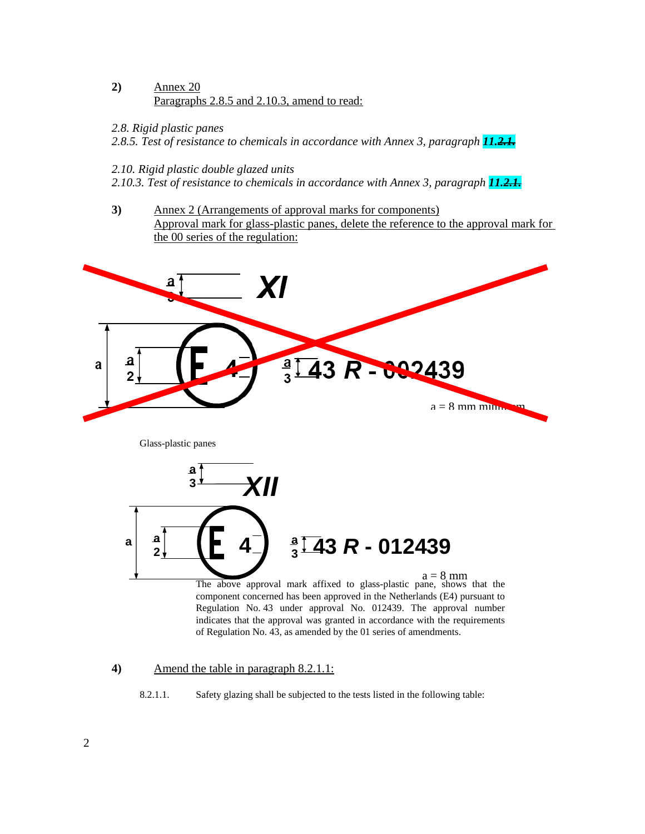#### **2)** Annex 20 Paragraphs 2.8.5 and 2.10.3, amend to read:

*2.8. Rigid plastic panes* 

*2.8.5. Test of resistance to chemicals in accordance with Annex 3, paragraph 11.2.1.*

#### *2.10. Rigid plastic double glazed units*

*2.10.3. Test of resistance to chemicals in accordance with Annex 3, paragraph 11.2.1.* 

**3)** Annex 2 (Arrangements of approval marks for components) Approval mark for glass-plastic panes, delete the reference to the approval mark for the 00 series of the regulation:



#### **4)** Amend the table in paragraph 8.2.1.1:

8.2.1.1. Safety glazing shall be subjected to the tests listed in the following table: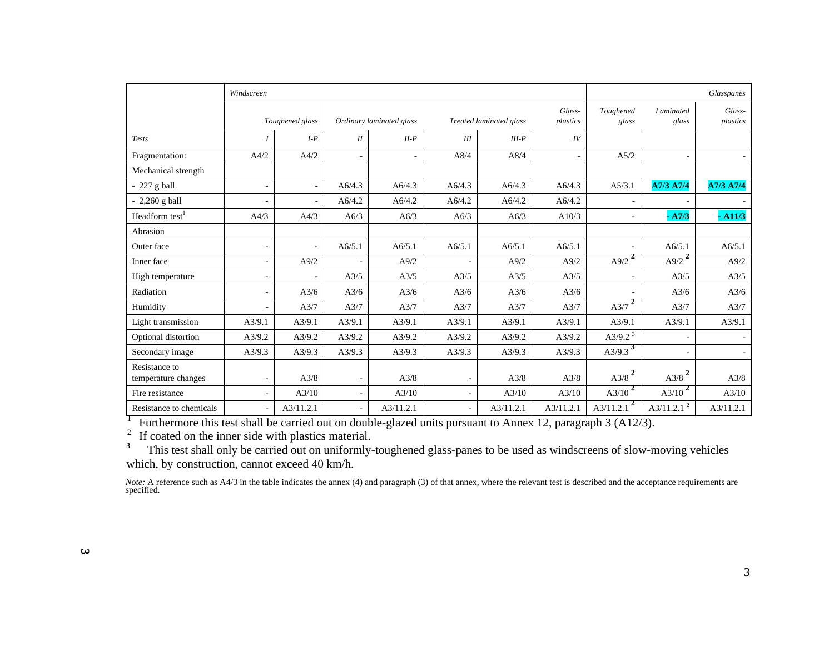|                                      | Windscreen       |                          |                          |                          |                         |           |                    |                           | Glasspanes         |                    |  |
|--------------------------------------|------------------|--------------------------|--------------------------|--------------------------|-------------------------|-----------|--------------------|---------------------------|--------------------|--------------------|--|
|                                      |                  | Toughened glass          | Ordinary laminated glass |                          | Treated laminated glass |           | Glass-<br>plastics | Toughened<br>glass        | Laminated<br>glass | Glass-<br>plastics |  |
| <b>Tests</b>                         | $\boldsymbol{I}$ | $I-P$                    | II                       | $II-P$                   | III                     | $III-P$   | IV                 |                           |                    |                    |  |
| Fragmentation:                       | A4/2             | A4/2                     | $\sim$                   | $\overline{\phantom{a}}$ | A8/4                    | A8/4      | $\sim$             | A5/2                      |                    |                    |  |
| Mechanical strength                  |                  |                          |                          |                          |                         |           |                    |                           |                    |                    |  |
| $-227$ g ball                        | $\sim$           | ٠                        | A6/4.3                   | A6/4.3                   | A6/4.3                  | A6/4.3    | A6/4.3             | A5/3.1                    | A7/3 A7/4          | A7/3 A7/4          |  |
| $-2,260$ g ball                      | $\sim$           | $\overline{\phantom{0}}$ | A6/4.2                   | A6/4.2                   | A6/4.2                  | A6/4.2    | A6/4.2             | $\overline{\phantom{a}}$  |                    |                    |  |
| Headform test <sup>1</sup>           | A4/3             | A4/3                     | A6/3                     | A6/3                     | A6/3                    | A6/3      | A10/3              | $\overline{\phantom{a}}$  | $-A7/3$            | $-411/3$           |  |
| Abrasion                             |                  |                          |                          |                          |                         |           |                    |                           |                    |                    |  |
| Outer face                           | $\sim$           | ٠                        | A6/5.1                   | A6/5.1                   | A6/5.1                  | A6/5.1    | A6/5.1             |                           | A6/5.1             | A6/5.1             |  |
| Inner face                           | $\sim$           | A9/2                     |                          | A9/2                     | $\sim$                  | A9/2      | A9/2               | A9/2 $^{2}$               | A9/2 <sup>2</sup>  | A9/2               |  |
| High temperature                     | $\sim$           |                          | A3/5                     | A3/5                     | A3/5                    | A3/5      | A3/5               | $\overline{\phantom{a}}$  | A3/5               | A3/5               |  |
| Radiation                            | $\sim$           | A3/6                     | A3/6                     | A3/6                     | A3/6                    | A3/6      | A3/6               |                           | A3/6               | A3/6               |  |
| Humidity                             | ÷.               | A3/7                     | A3/7                     | A3/7                     | A3/7                    | A3/7      | A3/7               | $A3/7$ <sup>2</sup>       | A3/7               | A3/7               |  |
| Light transmission                   | A3/9.1           | A3/9.1                   | A3/9.1                   | A3/9.1                   | A3/9.1                  | A3/9.1    | A3/9.1             | A3/9.1                    | A3/9.1             | A3/9.1             |  |
| Optional distortion                  | A3/9.2           | A3/9.2                   | A3/9.2                   | A3/9.2                   | A3/9.2                  | A3/9.2    | A3/9.2             | A3/9.2 $3$                |                    |                    |  |
| Secondary image                      | A3/9.3           | A3/9.3                   | A3/9.3                   | A3/9.3                   | A3/9.3                  | A3/9.3    | A3/9.3             | A3/9.3 <sup>3</sup>       |                    |                    |  |
| Resistance to<br>temperature changes | $\sim$           | A3/8                     | $\overline{\phantom{a}}$ | A3/8                     | ٠                       | A3/8      | A3/8               | $A3/8$ <sup>2</sup>       | $A3/8^2$           | A3/8               |  |
| Fire resistance                      | $\sim$           | A3/10                    | $\sim$                   | A3/10                    |                         | A3/10     | A3/10              | $A3/10^{2}$               | $A3/10^2$          | A3/10              |  |
| Resistance to chemicals              |                  | A3/11.2.1                | $\sim$                   | A3/11.2.1                |                         | A3/11.2.1 | A3/11.2.1          | $\mathbf{2}$<br>A3/11.2.1 | A3/11.2.1 $^2$     | A3/11.2.1          |  |

<sup>1</sup> Furthermore this test shall be carried out on double-glazed units pursuant to Annex 12, paragraph 3 (A12/3).

 $2<sup>2</sup>$  If coated on the inner side with plastics material.

<sup>3</sup> This test shall only be carried out on uniformly-toughened glass-panes to be used as windscreens of slow-moving vehicles which, by construction, cannot exceed 40 km/h.

*Note*: A reference such as A4/3 in the table indicates the annex (4) and paragraph (3) of that annex, where the relevant test is described and the acceptance requirements are specified.